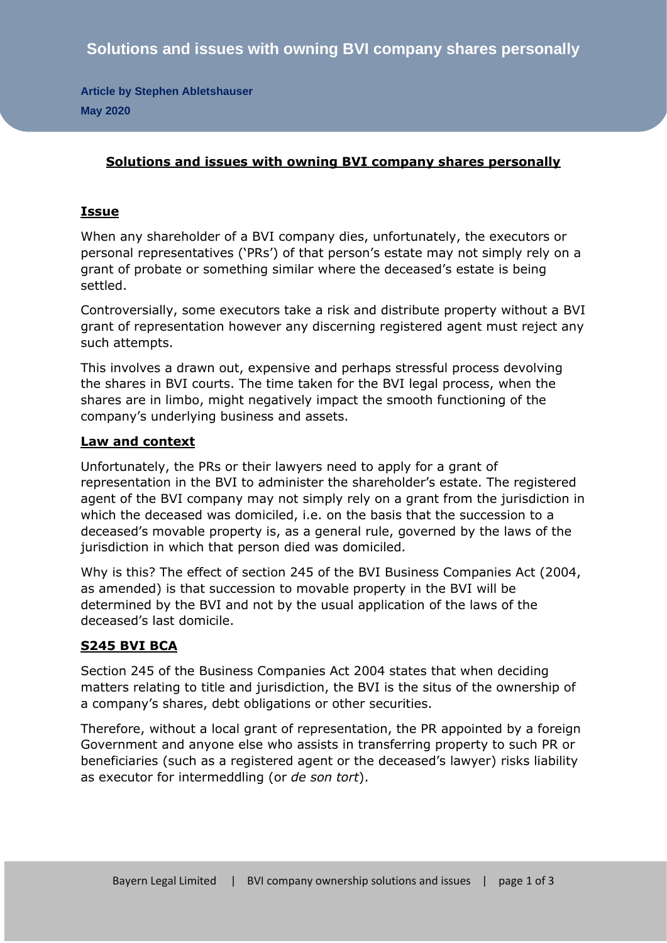**Article by Stephen Abletshauser May 2020**

## **Solutions and issues with owning BVI company shares personally**

## **Issue**

When any shareholder of a BVI company dies, unfortunately, the executors or personal representatives ('PRs') of that person's estate may not simply rely on a grant of probate or something similar where the deceased's estate is being settled.

Controversially, some executors take a risk and distribute property without a BVI grant of representation however any discerning registered agent must reject any such attempts.

This involves a drawn out, expensive and perhaps stressful process devolving the shares in BVI courts. The time taken for the BVI legal process, when the shares are in limbo, might negatively impact the smooth functioning of the company's underlying business and assets.

## **Law and context**

Unfortunately, the PRs or their lawyers need to apply for a grant of representation in the BVI to administer the shareholder's estate. The registered agent of the BVI company may not simply rely on a grant from the jurisdiction in which the deceased was domiciled, i.e. on the basis that the succession to a deceased's movable property is, as a general rule, governed by the laws of the jurisdiction in which that person died was domiciled.

Why is this? The effect of section 245 of the BVI Business Companies Act (2004, as amended) is that succession to movable property in the BVI will be determined by the BVI and not by the usual application of the laws of the deceased's last domicile.

# **S245 BVI BCA**

Section 245 of the Business Companies Act 2004 states that when deciding matters relating to title and jurisdiction, the BVI is the situs of the ownership of a company's shares, debt obligations or other securities.

Therefore, without a local grant of representation, the PR appointed by a foreign Government and anyone else who assists in transferring property to such PR or beneficiaries (such as a registered agent or the deceased's lawyer) risks liability as executor for intermeddling (or *de son tort*).